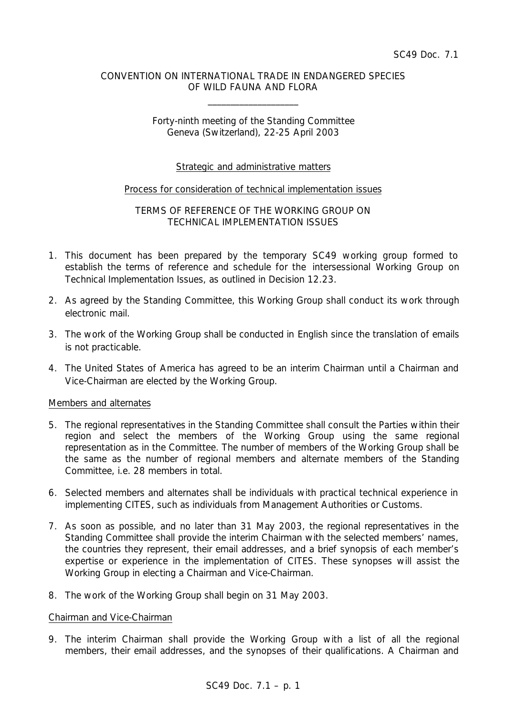### CONVENTION ON INTERNATIONAL TRADE IN ENDANGERED SPECIES OF WILD FAUNA AND FLORA

\_\_\_\_\_\_\_\_\_\_\_\_\_\_\_\_\_\_\_\_

# Forty-ninth meeting of the Standing Committee Geneva (Switzerland), 22-25 April 2003

# Strategic and administrative matters

#### Process for consideration of technical implementation issues

## TERMS OF REFERENCE OF THE WORKING GROUP ON TECHNICAL IMPLEMENTATION ISSUES

- 1. This document has been prepared by the temporary SC49 working group formed to establish the terms of reference and schedule for the intersessional Working Group on Technical Implementation Issues, as outlined in Decision 12.23.
- 2. As agreed by the Standing Committee, this Working Group shall conduct its work through electronic mail.
- 3. The work of the Working Group shall be conducted in English since the translation of emails is not practicable.
- 4. The United States of America has agreed to be an interim Chairman until a Chairman and Vice-Chairman are elected by the Working Group.

#### Members and alternates

- 5. The regional representatives in the Standing Committee shall consult the Parties within their region and select the members of the Working Group using the same regional representation as in the Committee. The number of members of the Working Group shall be the same as the number of regional members and alternate members of the Standing Committee, i.e. 28 members in total.
- 6. Selected members and alternates shall be individuals with practical technical experience in implementing CITES, such as individuals from Management Authorities or Customs.
- 7. As soon as possible, and no later than 31 May 2003, the regional representatives in the Standing Committee shall provide the interim Chairman with the selected members' names, the countries they represent, their email addresses, and a brief synopsis of each member's expertise or experience in the implementation of CITES. These synopses will assist the Working Group in electing a Chairman and Vice-Chairman.
- 8. The work of the Working Group shall begin on 31 May 2003.

#### Chairman and Vice-Chairman

9. The interim Chairman shall provide the Working Group with a list of all the regional members, their email addresses, and the synopses of their qualifications. A Chairman and